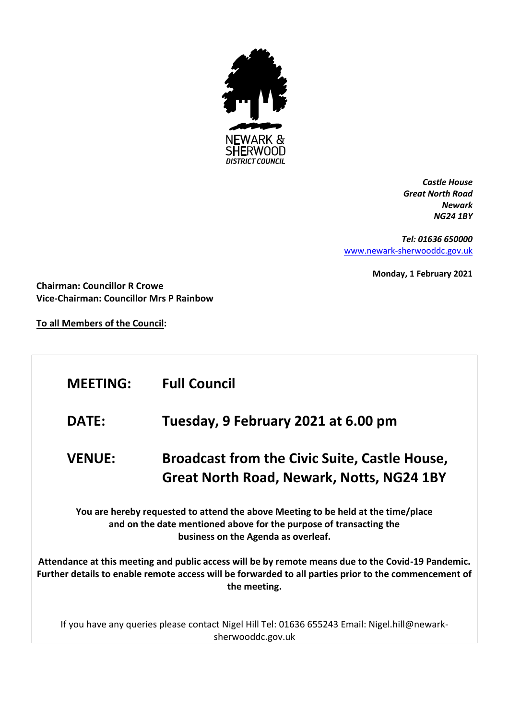

*Castle House Great North Road Newark NG24 1BY*

*Tel: 01636 650000* [www.newark-sherwooddc.gov.uk](http://www.newark-sherwooddc.gov.uk/)

**Monday, 1 February 2021**

**Chairman: Councillor R Crowe Vice-Chairman: Councillor Mrs P Rainbow**

**To all Members of the Council:**

| <b>MEETING:</b>                                                                                                                                                                                                             | <b>Full Council</b>                                                                               |  |  |  |
|-----------------------------------------------------------------------------------------------------------------------------------------------------------------------------------------------------------------------------|---------------------------------------------------------------------------------------------------|--|--|--|
| <b>DATE:</b>                                                                                                                                                                                                                | Tuesday, 9 February 2021 at 6.00 pm                                                               |  |  |  |
| <b>VENUE:</b>                                                                                                                                                                                                               | <b>Broadcast from the Civic Suite, Castle House,</b><br>Great North Road, Newark, Notts, NG24 1BY |  |  |  |
| You are hereby requested to attend the above Meeting to be held at the time/place<br>and on the date mentioned above for the purpose of transacting the<br>business on the Agenda as overleaf.                              |                                                                                                   |  |  |  |
| Attendance at this meeting and public access will be by remote means due to the Covid-19 Pandemic.<br>Further details to enable remote access will be forwarded to all parties prior to the commencement of<br>the meeting. |                                                                                                   |  |  |  |
| If you have any queries please contact Nigel Hill Tel: 01636 655243 Email: Nigel.hill@newark-<br>sherwooddc.gov.uk                                                                                                          |                                                                                                   |  |  |  |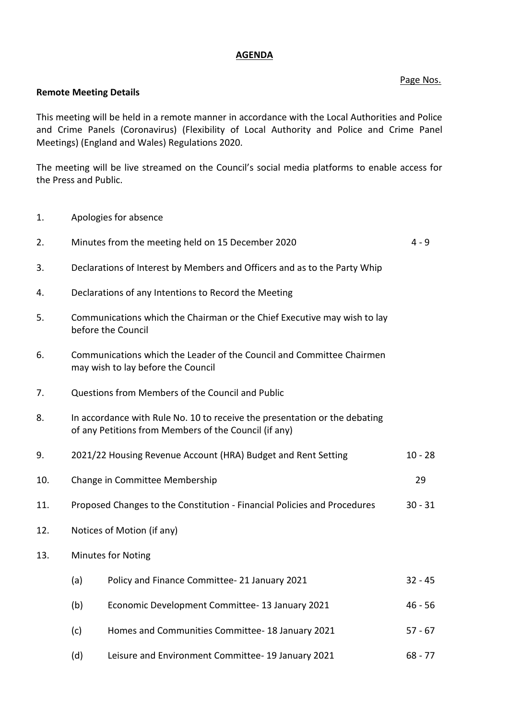## **AGENDA**

## Page Nos.

## **Remote Meeting Details**

This meeting will be held in a remote manner in accordance with the Local Authorities and Police and Crime Panels (Coronavirus) (Flexibility of Local Authority and Police and Crime Panel Meetings) (England and Wales) Regulations 2020.

The meeting will be live streamed on the Council's social media platforms to enable access for the Press and Public.

1. Apologies for absence

| 2.  |                                                                                                                                     | Minutes from the meeting held on 15 December 2020                                              | $4 - 9$   |
|-----|-------------------------------------------------------------------------------------------------------------------------------------|------------------------------------------------------------------------------------------------|-----------|
| 3.  |                                                                                                                                     | Declarations of Interest by Members and Officers and as to the Party Whip                      |           |
| 4.  |                                                                                                                                     | Declarations of any Intentions to Record the Meeting                                           |           |
| 5.  |                                                                                                                                     | Communications which the Chairman or the Chief Executive may wish to lay<br>before the Council |           |
| 6.  | Communications which the Leader of the Council and Committee Chairmen<br>may wish to lay before the Council                         |                                                                                                |           |
| 7.  | Questions from Members of the Council and Public                                                                                    |                                                                                                |           |
| 8.  | In accordance with Rule No. 10 to receive the presentation or the debating<br>of any Petitions from Members of the Council (if any) |                                                                                                |           |
| 9.  |                                                                                                                                     | 2021/22 Housing Revenue Account (HRA) Budget and Rent Setting                                  | $10 - 28$ |
| 10. | Change in Committee Membership                                                                                                      |                                                                                                | 29        |
| 11. | Proposed Changes to the Constitution - Financial Policies and Procedures<br>$30 - 31$                                               |                                                                                                |           |
| 12. | Notices of Motion (if any)                                                                                                          |                                                                                                |           |
| 13. | <b>Minutes for Noting</b>                                                                                                           |                                                                                                |           |
|     | (a)                                                                                                                                 | Policy and Finance Committee-21 January 2021                                                   | $32 - 45$ |
|     | (b)                                                                                                                                 | Economic Development Committee-13 January 2021                                                 | $46 - 56$ |
|     | (c)                                                                                                                                 | Homes and Communities Committee- 18 January 2021                                               | $57 - 67$ |
|     | (d)                                                                                                                                 | Leisure and Environment Committee- 19 January 2021                                             | $68 - 77$ |